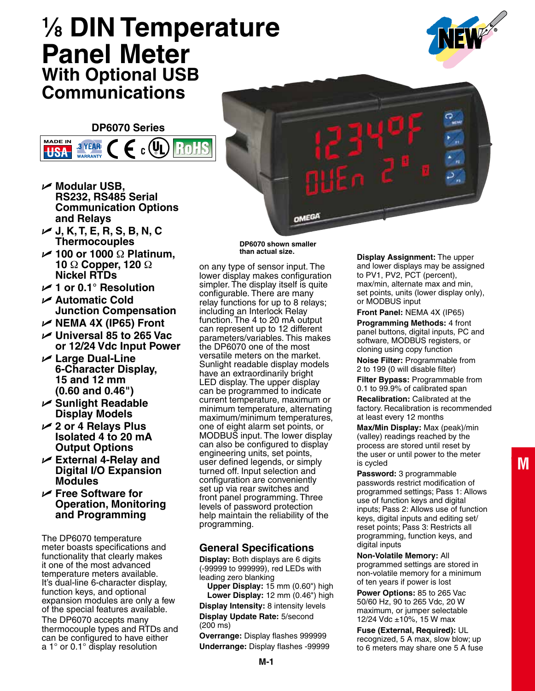# **1 ⁄8 DIN Temperature Panel Meter With Optional USB Communications**

#### **DP6070 Series**

 $_{c}$  (VI

RoH

U **Modular USB, RS232, RS485 Serial Communication Options and Relays** 

U **J, K, T, E, R, S, B, N, C Thermocouples** 

3 YEAR

**WARRANTY** 

**MADE IN** 

**USA** 

- U **100 or 1000** Ω **Platinum, 10** Ω **Copper, 120** Ω **Nickel RTDs**
- U **1 or 0.1° Resolution**
- U **Automatic Cold Junction Compensation**
- U **NEMA 4X (IP65) Front**
- U **Universal 85 to 265 Vac or 12/24 Vdc Input Power**
- U **Large Dual-Line 6-Character Display, 15 and 12 mm (0.60 and 0.46")**
- U **Sunlight Readable Display Models**
- U **2 or 4 Relays Plus Isolated 4 to 20 mA Output Options**
- U **External 4-Relay and Digital I/O Expansion Modules**
- U **Free Software for Operation, Monitoring and Programming**

The DP6070 temperature meter boasts specifications and functionality that clearly makes it one of the most advanced temperature meters available. It's dual-line 6-character display, function keys, and optional expansion modules are only a few of the special features available. The DP6070 accepts many thermocouple types and RTDs and can be configured to have either a 1° or 0.1° display resolution

**DP6070 shown smaller than actual size.**

OMEGA

on any type of sensor input. The lower display makes configuration simpler. The display itself is quite configurable. There are many relay functions for up to 8 relays; including an Interlock Relay function. The 4 to 20 mA output can represent up to 12 different parameters/variables. This makes the DP6070 one of the most versatile meters on the market. Sunlight readable display models have an extraordinarily bright LED display. The upper display can be programmed to indicate current temperature, maximum or minimum temperature, alternating maximum/minimum temperatures, one of eight alarm set points, or MODBUS input. The lower display can also be configured to display engineering units, set points, user defined legends, or simply turned off. Input selection and configuration are conveniently set up via rear switches and front panel programming. Three levels of password protection help maintain the reliability of the programming.

## **General Specifications**

**Display:** Both displays are 6 digits (-99999 to 999999), red LEDs with leading zero blanking

**Upper Display:** 15 mm (0.60") high **Lower Display:** 12 mm (0.46") high

**Display Intensity:** 8 intensity levels **Display Update Rate:** 5/second (200 ms)

**Overrange:** Display flashes 999999 **Underrange:** Display flashes -99999 **Display Assignment:** The upper and lower displays may be assigned to PV1, PV2, PCT (percent), max/min, alternate max and min, set points, units (lower display only), or MODBUS input

**Front Panel:** NEMA 4X (IP65) **Programming Methods:** 4 front panel buttons, digital inputs, PC and software, MODBUS registers, or cloning using copy function

**Noise Filter:** Programmable from 2 to 199 (0 will disable filter)

**Filter Bypass:** Programmable from 0.1 to 99.9% of calibrated span

**Recalibration:** Calibrated at the factory. Recalibration is recommended at least every 12 months

**Max/Min Display:** Max (peak)/min (valley) readings reached by the process are stored until reset by the user or until power to the meter is cycled

**Password:** 3 programmable passwords restrict modification of programmed settings; Pass 1: Allows use of function keys and digital inputs; Pass 2: Allows use of function keys, digital inputs and editing set/ reset points; Pass 3: Restricts all programming, function keys, and digital inputs

**Non-Volatile Memory:** All programmed settings are stored in non-volatile memory for a minimum of ten years if power is lost

**Power Options:** 85 to 265 Vac 50/60 Hz, 90 to 265 Vdc, 20 W maximum, or jumper selectable 12/24 Vdc ±10%, 15 W max

**Fuse (External, Required):** UL recognized, 5 A max, slow blow; up to 6 meters may share one 5 A fuse

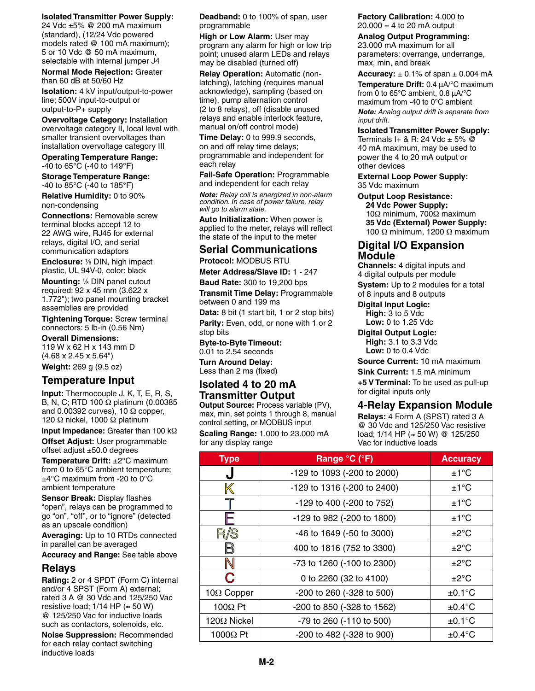#### **Isolated Transmitter Power Supply:**

24 Vdc ±5% @ 200 mA maximum (standard), (12/24 Vdc powered models rated @ 100 mA maximum); 5 or 10 Vdc @ 50 mA maximum, selectable with internal jumper J4

**Normal Mode Rejection:** Greater than 60 dB at 50/60 Hz

**Isolation:** 4 kV input/output-to-power line; 500V input-to-output or output-to-P+ supply

**Overvoltage Category:** Installation overvoltage category II, local level with smaller transient overvoltages than installation overvoltage category III

**Operating Temperature Range:** -40 to 65°C (-40 to 149°F)

**Storage Temperature Range:** -40 to 85°C (-40 to 185°F)

**Relative Humidity:** 0 to 90% non-condensing

**Connections:** Removable screw terminal blocks accept 12 to 22 AWG wire, RJ45 for external relays, digital I/O, and serial communication adaptors

**Enclosure:** <sup>1</sup> ⁄8 DIN, high impact plastic, UL 94V-0, color: black

**Mounting:** <sup>1</sup> ⁄8 DIN panel cutout required: 92 x 45 mm (3.622 x 1.772"); two panel mounting bracket assemblies are provided

**Tightening Torque:** Screw terminal connectors: 5 lb-in (0.56 Nm)

**Overall Dimensions:** 119 W x 62 H x 143 mm D (4.68 x 2.45 x 5.64") **Weight:** 269 g (9.5 oz)

# **Temperature Input**

**Input:** Thermocouple J, K, T, E, R, S, B, N, C; RTD 100 Ω platinum (0.00385 and 0.00392 curves), 10  $\Omega$  copper, 120 Ω nickel, 1000 Ω platinum

**Input Impedance:** Greater than 100 kΩ **Offset Adjust:** User programmable offset adjust ±50.0 degrees

**Temperature Drift:** ±2°C maximum from 0 to 65°C ambient temperature; ±4°C maximum from -20 to 0°C ambient temperature

**Sensor Break:** Display flashes "open", relays can be programmed to go "on", "off", or to "ignore" (detected as an upscale condition)

**Averaging:** Up to 10 RTDs connected in parallel can be averaged

**Accuracy and Range:** See table above

## **Relays**

**Rating:** 2 or 4 SPDT (Form C) internal and/or 4 SPST (Form A) external; rated 3 A @ 30 Vdc and 125/250 Vac resistive load;  $1/14$  HP ( $\approx$  50 W) @ 125/250 Vac for inductive loads such as contactors, solenoids, etc.

**Noise Suppression:** Recommended for each relay contact switching inductive loads

**Deadband:** 0 to 100% of span, user programmable

**High or Low Alarm:** User may program any alarm for high or low trip point; unused alarm LEDs and relays may be disabled (turned off)

**Relay Operation:** Automatic (nonlatching), latching (requires manual acknowledge), sampling (based on time), pump alternation control (2 to 8 relays), off (disable unused relays and enable interlock feature, manual on/off control mode)

**Time Delay:** 0 to 999.9 seconds, on and off relay time delays; programmable and independent for each relay

**Fail-Safe Operation:** Programmable and independent for each relay

*Note: Relay coil is energized in non-alarm condition. In case of power failure, relay will go to alarm state.*

**Auto Initialization:** When power is applied to the meter, relays will reflect the state of the input to the meter

#### **Serial Communications**

**Protocol: MODBUS RTU** 

**Meter Address/Slave ID:** 1 - 247

**Baud Rate:** 300 to 19,200 bps **Transmit Time Delay:** Programmable between 0 and 199 ms

**Data:** 8 bit (1 start bit, 1 or 2 stop bits) **Parity:** Even, odd, or none with 1 or 2 stop bits

**Byte-to-Byte Timeout:** 0.01 to 2.54 seconds

**Turn Around Delay:** Less than 2 ms (fixed)

## **Isolated 4 to 20 mA Transmitter Output**

**Output Source:** Process variable (PV), max, min, set points 1 through 8, manual control setting, or MODBUS input **Scaling Range:** 1.000 to 23.000 mA for any display range

**Factory Calibration:** 4.000 to  $20.000 = 4$  to 20 mA output

#### **Analog Output Programming:**

23.000 mA maximum for all parameters: overrange, underrange, max, min, and break

**Accuracy:**  $\pm$  0.1% of span  $\pm$  0.004 mA

**Temperature Drift:** 0.4 μA/°C maximum from 0 to 65°C ambient, 0.8 μA/°C maximum from -40 to 0°C ambient *Note: Analog output drift is separate from input drift.*

**Isolated Transmitter Power Supply:**

Terminals I+ & R: 24 Vdc  $\pm$  5%  $\oslash$ 40 mA maximum, may be used to power the 4 to 20 mA output or other devices

**External Loop Power Supply:** 35 Vdc maximum

**Output Loop Resistance: 24 Vdc Power Supply:** 10Ω minimum, 700Ω maximum **35 Vdc (External) Power Supply:** 100 Ω minimum, 1200 Ω maximum

#### **Digital I/O Expansion Module**

**Channels:** 4 digital inputs and 4 digital outputs per module **System:** Up to 2 modules for a total of 8 inputs and 8 outputs

**Digital Input Logic: High:** 3 to 5 Vdc **Low:** 0 to 1.25 Vdc

**Digital Output Logic: High:** 3.1 to 3.3 Vdc **Low:** 0 to 0.4 Vdc

**Source Current:** 10 mA maximum

**Sink Current:** 1.5 mA minimum

**+5 V Terminal:** To be used as pull-up for digital inputs only

## **4-Relay Expansion Module**

**Relays:** 4 Form A (SPST) rated 3 A @ 30 Vdc and 125/250 Vac resistive load; 1/14 HP (≈ 50 W) @ 125/250 Vac for inductive loads

| <b>Type</b>        | Range °C (°F)               | <b>Accuracy</b>   |
|--------------------|-----------------------------|-------------------|
| J                  | -129 to 1093 (-200 to 2000) | $±1^{\circ}C$     |
| K                  | -129 to 1316 (-200 to 2400) | $±1^{\circ}C$     |
| T                  | -129 to 400 (-200 to 752)   | $±1^{\circ}C$     |
| ÷                  | -129 to 982 (-200 to 1800)  | $±1^{\circ}C$     |
| /S                 | -46 to 1649 (-50 to 3000)   | $\pm 2^{\circ}$ C |
|                    | 400 to 1816 (752 to 3300)   | $\pm 2^{\circ}$ C |
| N                  | -73 to 1260 (-100 to 2300)  | $\pm 2^{\circ}$ C |
| C                  | 0 to 2260 (32 to 4100)      | $+2^{\circ}$ C    |
| 10 $\Omega$ Copper | -200 to 260 (-328 to 500)   | $±0.1$ °C         |
| $100\Omega$ Pt     | -200 to 850 (-328 to 1562)  | $\pm 0.4$ °C      |
| $120\Omega$ Nickel | -79 to 260 (-110 to 500)    | $±0.1$ °C         |
| $1000\Omega$ Pt    | -200 to 482 (-328 to 900)   | $\pm 0.4$ °C      |